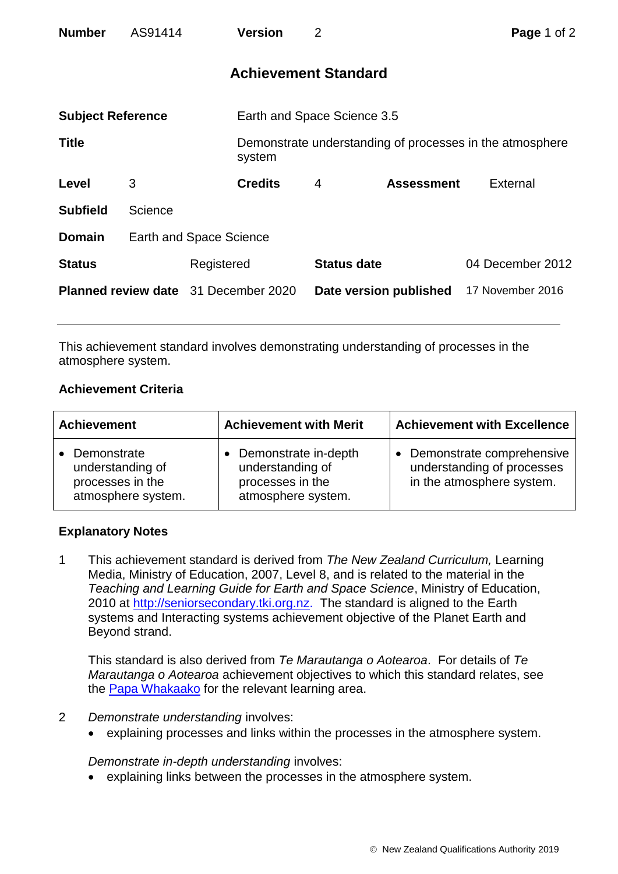| <b>Number</b>                               | AS91414 |                         | <b>Version</b>              | $\overline{2}$              |                   | Page 1 of 2                                              |  |
|---------------------------------------------|---------|-------------------------|-----------------------------|-----------------------------|-------------------|----------------------------------------------------------|--|
|                                             |         |                         |                             | <b>Achievement Standard</b> |                   |                                                          |  |
| <b>Subject Reference</b>                    |         |                         | Earth and Space Science 3.5 |                             |                   |                                                          |  |
| <b>Title</b>                                |         |                         | system                      |                             |                   | Demonstrate understanding of processes in the atmosphere |  |
| Level                                       | 3       |                         | <b>Credits</b>              | 4                           | <b>Assessment</b> | <b>External</b>                                          |  |
| <b>Subfield</b>                             | Science |                         |                             |                             |                   |                                                          |  |
| <b>Domain</b>                               |         | Earth and Space Science |                             |                             |                   |                                                          |  |
| <b>Status</b>                               |         | Registered              |                             | <b>Status date</b>          |                   | 04 December 2012                                         |  |
| <b>Planned review date</b> 31 December 2020 |         |                         |                             | Date version published      |                   | 17 November 2016                                         |  |

This achievement standard involves demonstrating understanding of processes in the atmosphere system.

## **Achievement Criteria**

| <b>Achievement</b>                                                                     | <b>Achievement with Merit</b>                                                      | <b>Achievement with Excellence</b>                                                     |  |
|----------------------------------------------------------------------------------------|------------------------------------------------------------------------------------|----------------------------------------------------------------------------------------|--|
| Demonstrate<br>$\bullet$<br>understanding of<br>processes in the<br>atmosphere system. | Demonstrate in-depth<br>understanding of<br>processes in the<br>atmosphere system. | • Demonstrate comprehensive<br>understanding of processes<br>in the atmosphere system. |  |

## **Explanatory Notes**

1 This achievement standard is derived from *The New Zealand Curriculum,* Learning Media, Ministry of Education, 2007, Level 8, and is related to the material in the *Teaching and Learning Guide for Earth and Space Science*, Ministry of Education, 2010 at [http://seniorsecondary.tki.org.nz.](http://seniorsecondary.tki.org.nz/) The standard is aligned to the Earth systems and Interacting systems achievement objective of the Planet Earth and Beyond strand.

This standard is also derived from *Te Marautanga o Aotearoa*. For details of *Te Marautanga o Aotearoa* achievement objectives to which this standard relates, see the [Papa Whakaako](http://tmoa.tki.org.nz/Te-Marautanga-o-Aotearoa/Taumata-Matauranga-a-Motu-Ka-Taea) for the relevant learning area.

- 2 *Demonstrate understanding* involves:
	- explaining processes and links within the processes in the atmosphere system.

*Demonstrate in-depth understanding* involves:

explaining links between the processes in the atmosphere system.